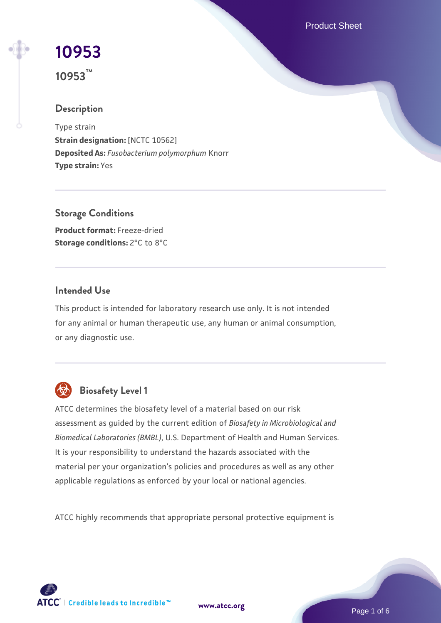Product Sheet

# **[10953](https://www.atcc.org/products/10953)**

**10953™**

## **Description**

Type strain **Strain designation:** [NCTC 10562] **Deposited As:** *Fusobacterium polymorphum* Knorr **Type strain:** Yes

**Storage Conditions Product format:** Freeze-dried **Storage conditions: 2°C to 8°C** 

## **Intended Use**

This product is intended for laboratory research use only. It is not intended for any animal or human therapeutic use, any human or animal consumption, or any diagnostic use.



# **Biosafety Level 1**

ATCC determines the biosafety level of a material based on our risk assessment as guided by the current edition of *Biosafety in Microbiological and Biomedical Laboratories (BMBL)*, U.S. Department of Health and Human Services. It is your responsibility to understand the hazards associated with the material per your organization's policies and procedures as well as any other applicable regulations as enforced by your local or national agencies.

ATCC highly recommends that appropriate personal protective equipment is

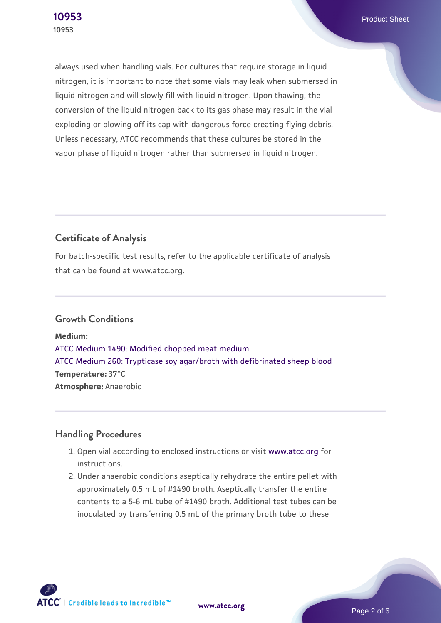always used when handling vials. For cultures that require storage in liquid nitrogen, it is important to note that some vials may leak when submersed in liquid nitrogen and will slowly fill with liquid nitrogen. Upon thawing, the conversion of the liquid nitrogen back to its gas phase may result in the vial exploding or blowing off its cap with dangerous force creating flying debris. Unless necessary, ATCC recommends that these cultures be stored in the vapor phase of liquid nitrogen rather than submersed in liquid nitrogen.

## **Certificate of Analysis**

For batch-specific test results, refer to the applicable certificate of analysis that can be found at www.atcc.org.

### **Growth Conditions**

**Medium:**  [ATCC Medium 1490: Modified chopped meat medium](https://www.atcc.org/-/media/product-assets/documents/microbial-media-formulations/1/4/9/0/atcc-medium-1490.pdf?rev=02c6e1848df74494b915ed6838f7995e) [ATCC Medium 260: Trypticase soy agar/broth with defibrinated sheep blood](https://www.atcc.org/-/media/product-assets/documents/microbial-media-formulations/2/6/0/atcc-medium-0260.pdf?rev=5d6614780b1c4acf817a324e2507f087) **Temperature:** 37°C **Atmosphere:** Anaerobic

## **Handling Procedures**

- 1. Open vial according to enclosed instructions or visit [www.atcc.org](http://www.atcc.org) for instructions.
- 2. Under anaerobic conditions aseptically rehydrate the entire pellet with approximately 0.5 mL of #1490 broth. Aseptically transfer the entire contents to a 5-6 mL tube of #1490 broth. Additional test tubes can be inoculated by transferring 0.5 mL of the primary broth tube to these

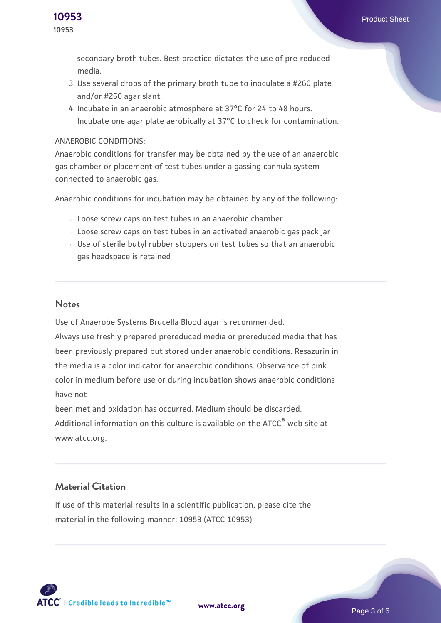

secondary broth tubes. Best practice dictates the use of pre-reduced media.

- 3. Use several drops of the primary broth tube to inoculate a #260 plate and/or #260 agar slant.
- 4. Incubate in an anaerobic atmosphere at 37°C for 24 to 48 hours. Incubate one agar plate aerobically at 37°C to check for contamination.

#### ANAEROBIC CONDITIONS:

Anaerobic conditions for transfer may be obtained by the use of an anaerobic gas chamber or placement of test tubes under a gassing cannula system connected to anaerobic gas.

Anaerobic conditions for incubation may be obtained by any of the following:

- Loose screw caps on test tubes in an anaerobic chamber
- Loose screw caps on test tubes in an activated anaerobic gas pack jar
- Use of sterile butyl rubber stoppers on test tubes so that an anaerobic gas headspace is retained

#### **Notes**

Use of Anaerobe Systems Brucella Blood agar is recommended. Always use freshly prepared prereduced media or prereduced media that has been previously prepared but stored under anaerobic conditions. Resazurin in the media is a color indicator for anaerobic conditions. Observance of pink color in medium before use or during incubation shows anaerobic conditions

have not

been met and oxidation has occurred. Medium should be discarded. Additional information on this culture is available on the ATCC® web site at www.atcc.org.

## **Material Citation**

If use of this material results in a scientific publication, please cite the material in the following manner: 10953 (ATCC 10953)

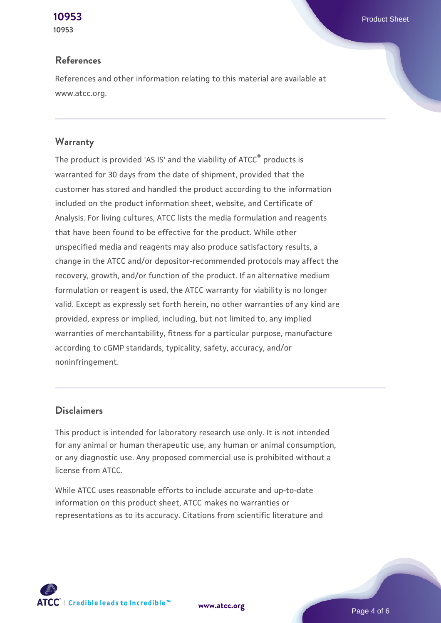#### **References**

References and other information relating to this material are available at www.atcc.org.

#### **Warranty**

The product is provided 'AS IS' and the viability of ATCC® products is warranted for 30 days from the date of shipment, provided that the customer has stored and handled the product according to the information included on the product information sheet, website, and Certificate of Analysis. For living cultures, ATCC lists the media formulation and reagents that have been found to be effective for the product. While other unspecified media and reagents may also produce satisfactory results, a change in the ATCC and/or depositor-recommended protocols may affect the recovery, growth, and/or function of the product. If an alternative medium formulation or reagent is used, the ATCC warranty for viability is no longer valid. Except as expressly set forth herein, no other warranties of any kind are provided, express or implied, including, but not limited to, any implied warranties of merchantability, fitness for a particular purpose, manufacture according to cGMP standards, typicality, safety, accuracy, and/or noninfringement.

#### **Disclaimers**

This product is intended for laboratory research use only. It is not intended for any animal or human therapeutic use, any human or animal consumption, or any diagnostic use. Any proposed commercial use is prohibited without a license from ATCC.

While ATCC uses reasonable efforts to include accurate and up-to-date information on this product sheet, ATCC makes no warranties or representations as to its accuracy. Citations from scientific literature and



**[www.atcc.org](http://www.atcc.org)**

Page 4 of 6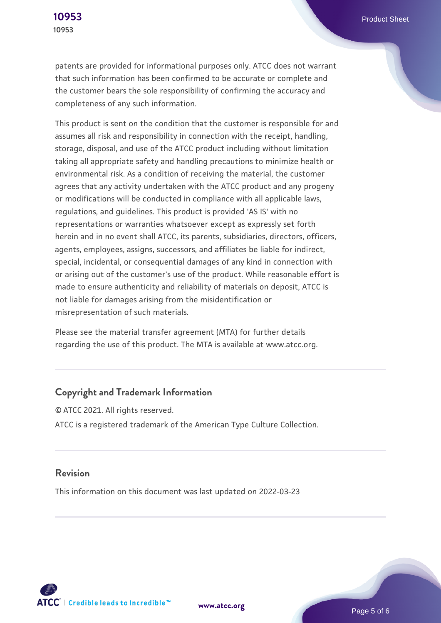patents are provided for informational purposes only. ATCC does not warrant that such information has been confirmed to be accurate or complete and the customer bears the sole responsibility of confirming the accuracy and completeness of any such information.

This product is sent on the condition that the customer is responsible for and assumes all risk and responsibility in connection with the receipt, handling, storage, disposal, and use of the ATCC product including without limitation taking all appropriate safety and handling precautions to minimize health or environmental risk. As a condition of receiving the material, the customer agrees that any activity undertaken with the ATCC product and any progeny or modifications will be conducted in compliance with all applicable laws, regulations, and guidelines. This product is provided 'AS IS' with no representations or warranties whatsoever except as expressly set forth herein and in no event shall ATCC, its parents, subsidiaries, directors, officers, agents, employees, assigns, successors, and affiliates be liable for indirect, special, incidental, or consequential damages of any kind in connection with or arising out of the customer's use of the product. While reasonable effort is made to ensure authenticity and reliability of materials on deposit, ATCC is not liable for damages arising from the misidentification or misrepresentation of such materials.

Please see the material transfer agreement (MTA) for further details regarding the use of this product. The MTA is available at www.atcc.org.

#### **Copyright and Trademark Information**

© ATCC 2021. All rights reserved. ATCC is a registered trademark of the American Type Culture Collection.

#### **Revision**

This information on this document was last updated on 2022-03-23